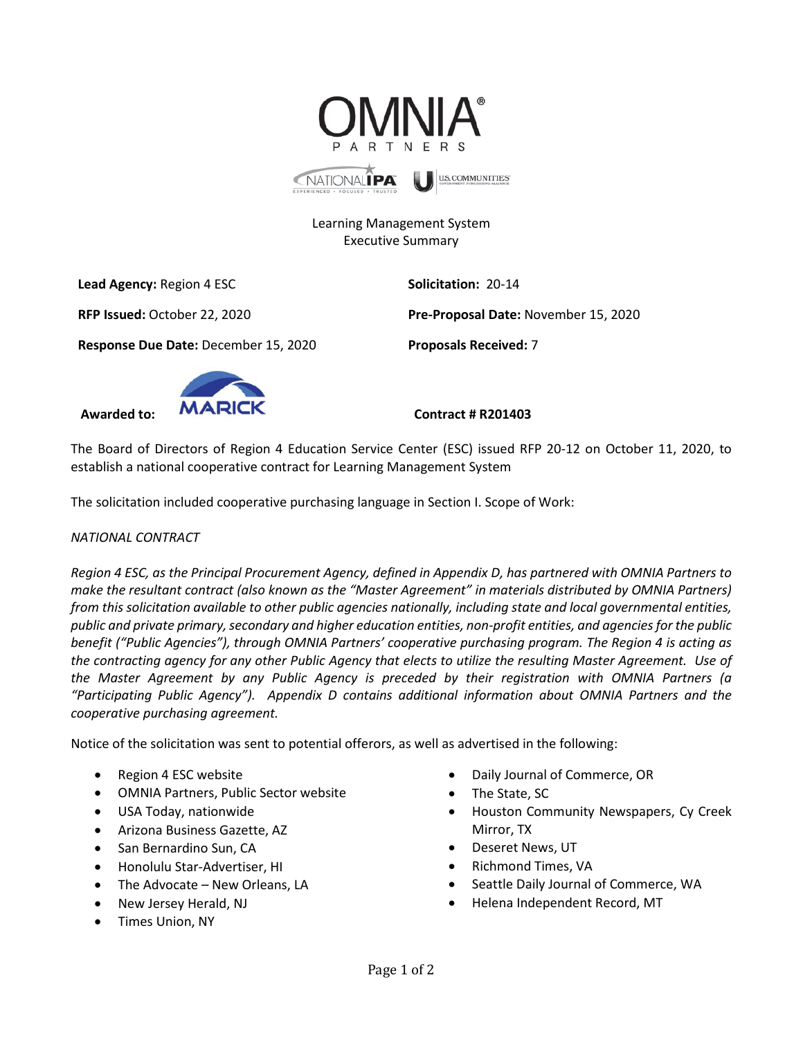

# Learning Management System Executive Summary

**Lead Agency:** Region 4 ESC **Solicitation:** 20-14

**RFP Issued:** October 22, 2020 **Pre-Proposal Date:** November 15, 2020

**Response Due Date:** December 15, 2020 **Proposals Received:** 7



The Board of Directors of Region 4 Education Service Center (ESC) issued RFP 20-12 on October 11, 2020, to establish a national cooperative contract for Learning Management System

The solicitation included cooperative purchasing language in Section I. Scope of Work:

## *NATIONAL CONTRACT*

*Region 4 ESC, as the Principal Procurement Agency, defined in Appendix D, has partnered with OMNIA Partners to make the resultant contract (also known as the "Master Agreement" in materials distributed by OMNIA Partners) from this solicitation available to other public agencies nationally, including state and local governmental entities, public and private primary, secondary and higher education entities, non-profit entities, and agencies for the public benefit ("Public Agencies"), through OMNIA Partners' cooperative purchasing program. The Region 4 is acting as the contracting agency for any other Public Agency that elects to utilize the resulting Master Agreement. Use of the Master Agreement by any Public Agency is preceded by their registration with OMNIA Partners (a "Participating Public Agency"). Appendix D contains additional information about OMNIA Partners and the cooperative purchasing agreement.*

Notice of the solicitation was sent to potential offerors, as well as advertised in the following:

- Region 4 ESC website
- OMNIA Partners, Public Sector website
- USA Today, nationwide
- Arizona Business Gazette, AZ
- San Bernardino Sun, CA
- Honolulu Star-Advertiser, HI
- The Advocate New Orleans, LA
- New Jersey Herald, NJ
- Times Union, NY
- Daily Journal of Commerce, OR
- The State, SC
- Houston Community Newspapers, Cy Creek Mirror, TX
- Deseret News, UT
- Richmond Times, VA
- Seattle Daily Journal of Commerce, WA
- Helena Independent Record, MT